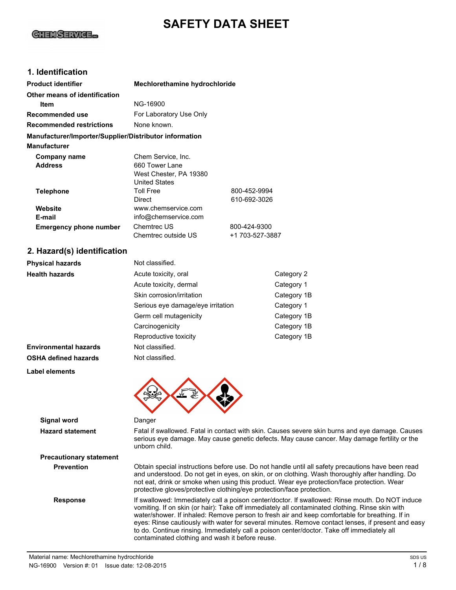# **SAFETY DATA SHEET**

# **GHEMSERVICE...**

## **1. Identification**

| <b>Product identifier</b>                              | Mechlorethamine hydrochloride                                                          |                                 |             |
|--------------------------------------------------------|----------------------------------------------------------------------------------------|---------------------------------|-------------|
| Other means of identification                          |                                                                                        |                                 |             |
| Item                                                   | NG-16900                                                                               |                                 |             |
| Recommended use                                        | For Laboratory Use Only                                                                |                                 |             |
| <b>Recommended restrictions</b>                        | None known.                                                                            |                                 |             |
| Manufacturer/Importer/Supplier/Distributor information |                                                                                        |                                 |             |
| Manufacturer                                           |                                                                                        |                                 |             |
| Company name<br><b>Address</b>                         | Chem Service, Inc.<br>660 Tower Lane<br>West Chester, PA 19380<br><b>United States</b> |                                 |             |
| <b>Telephone</b>                                       | <b>Toll Free</b><br><b>Direct</b>                                                      | 800-452-9994<br>610-692-3026    |             |
| Website<br>E-mail                                      | www.chemservice.com<br>info@chemservice.com                                            |                                 |             |
| <b>Emergency phone number</b>                          | Chemtrec US<br>Chemtrec outside US                                                     | 800-424-9300<br>+1 703-527-3887 |             |
| 2. Hazard(s) identification                            |                                                                                        |                                 |             |
| <b>Physical hazards</b>                                | Not classified.                                                                        |                                 |             |
| <b>Health hazards</b>                                  | Acute toxicity, oral                                                                   |                                 | Category 2  |
|                                                        | Acute toxicity, dermal                                                                 |                                 | Category 1  |
|                                                        | Skin corrosion/irritation                                                              |                                 | Category 1B |
|                                                        | Serious eye damage/eye irritation                                                      |                                 | Category 1  |
|                                                        | Germ cell mutagenicity                                                                 |                                 | Category 1B |
|                                                        | Carcinogenicity                                                                        |                                 | Category 1B |

**Environmental hazards** Not classified. **OSHA defined hazards** Not classified.

**Label elements**



| <b>Signal word</b>             | Danger                                                                                                                                                                                                                                                                                                                                                                                                                                                                                                                                                     |
|--------------------------------|------------------------------------------------------------------------------------------------------------------------------------------------------------------------------------------------------------------------------------------------------------------------------------------------------------------------------------------------------------------------------------------------------------------------------------------------------------------------------------------------------------------------------------------------------------|
| <b>Hazard statement</b>        | Fatal if swallowed. Fatal in contact with skin. Causes severe skin burns and eye damage. Causes<br>serious eye damage. May cause genetic defects. May cause cancer. May damage fertility or the<br>unborn child.                                                                                                                                                                                                                                                                                                                                           |
| <b>Precautionary statement</b> |                                                                                                                                                                                                                                                                                                                                                                                                                                                                                                                                                            |
| <b>Prevention</b>              | Obtain special instructions before use. Do not handle until all safety precautions have been read<br>and understood. Do not get in eyes, on skin, or on clothing. Wash thoroughly after handling. Do<br>not eat, drink or smoke when using this product. Wear eye protection/face protection. Wear<br>protective gloves/protective clothing/eye protection/face protection.                                                                                                                                                                                |
| <b>Response</b>                | If swallowed: Immediately call a poison center/doctor. If swallowed: Rinse mouth. Do NOT induce<br>vomiting. If on skin (or hair): Take off immediately all contaminated clothing. Rinse skin with<br>water/shower. If inhaled: Remove person to fresh air and keep comfortable for breathing. If in<br>eyes: Rinse cautiously with water for several minutes. Remove contact lenses, if present and easy<br>to do. Continue rinsing. Immediately call a poison center/doctor. Take off immediately all<br>contaminated clothing and wash it before reuse. |

Reproductive toxicity example of the Category 1B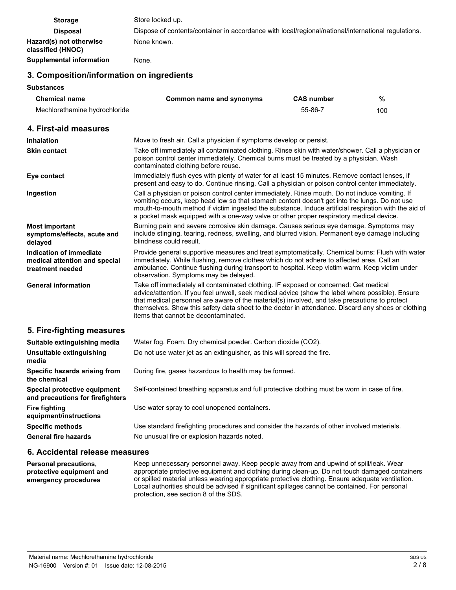| <b>Storage</b>                               | Store locked up.                                                                                    |
|----------------------------------------------|-----------------------------------------------------------------------------------------------------|
| <b>Disposal</b>                              | Dispose of contents/container in accordance with local/regional/national/international regulations. |
| Hazard(s) not otherwise<br>classified (HNOC) | None known.                                                                                         |
| Supplemental information                     | None.                                                                                               |

## **3. Composition/information on ingredients**

#### **Substances**

| <b>Chemical name</b>                                                         | Common name and synonyms                                                                                                                                                                                                                                                                                                                                                                                                                 | <b>CAS number</b> | %   |
|------------------------------------------------------------------------------|------------------------------------------------------------------------------------------------------------------------------------------------------------------------------------------------------------------------------------------------------------------------------------------------------------------------------------------------------------------------------------------------------------------------------------------|-------------------|-----|
| Mechlorethamine hydrochloride                                                |                                                                                                                                                                                                                                                                                                                                                                                                                                          | 55-86-7           | 100 |
| 4. First-aid measures                                                        |                                                                                                                                                                                                                                                                                                                                                                                                                                          |                   |     |
| <b>Inhalation</b>                                                            | Move to fresh air. Call a physician if symptoms develop or persist.                                                                                                                                                                                                                                                                                                                                                                      |                   |     |
| <b>Skin contact</b>                                                          | Take off immediately all contaminated clothing. Rinse skin with water/shower. Call a physician or<br>poison control center immediately. Chemical burns must be treated by a physician. Wash<br>contaminated clothing before reuse.                                                                                                                                                                                                       |                   |     |
| Eye contact                                                                  | Immediately flush eyes with plenty of water for at least 15 minutes. Remove contact lenses, if<br>present and easy to do. Continue rinsing. Call a physician or poison control center immediately.                                                                                                                                                                                                                                       |                   |     |
| Ingestion                                                                    | Call a physician or poison control center immediately. Rinse mouth. Do not induce vomiting. If<br>vomiting occurs, keep head low so that stomach content doesn't get into the lungs. Do not use<br>mouth-to-mouth method if victim ingested the substance. Induce artificial respiration with the aid of<br>a pocket mask equipped with a one-way valve or other proper respiratory medical device.                                      |                   |     |
| <b>Most important</b><br>symptoms/effects, acute and<br>delayed              | Burning pain and severe corrosive skin damage. Causes serious eye damage. Symptoms may<br>include stinging, tearing, redness, swelling, and blurred vision. Permanent eye damage including<br>blindness could result.                                                                                                                                                                                                                    |                   |     |
| Indication of immediate<br>medical attention and special<br>treatment needed | Provide general supportive measures and treat symptomatically. Chemical burns: Flush with water<br>immediately. While flushing, remove clothes which do not adhere to affected area. Call an<br>ambulance. Continue flushing during transport to hospital. Keep victim warm. Keep victim under<br>observation. Symptoms may be delayed.                                                                                                  |                   |     |
| <b>General information</b>                                                   | Take off immediately all contaminated clothing. IF exposed or concerned: Get medical<br>advice/attention. If you feel unwell, seek medical advice (show the label where possible). Ensure<br>that medical personnel are aware of the material(s) involved, and take precautions to protect<br>themselves. Show this safety data sheet to the doctor in attendance. Discard any shoes or clothing<br>items that cannot be decontaminated. |                   |     |
| 5. Fire-fighting measures                                                    |                                                                                                                                                                                                                                                                                                                                                                                                                                          |                   |     |
| Suitable extinguishing media                                                 | Water fog. Foam. Dry chemical powder. Carbon dioxide (CO2).                                                                                                                                                                                                                                                                                                                                                                              |                   |     |
| Unsuitable extinguishing<br>media                                            | Do not use water jet as an extinguisher, as this will spread the fire.                                                                                                                                                                                                                                                                                                                                                                   |                   |     |
| Specific hazards arising from<br>the chemical                                | During fire, gases hazardous to health may be formed.                                                                                                                                                                                                                                                                                                                                                                                    |                   |     |
| Special protective equipment<br>and precautions for firefighters             | Self-contained breathing apparatus and full protective clothing must be worn in case of fire.                                                                                                                                                                                                                                                                                                                                            |                   |     |
| <b>Fire fighting</b><br>equipment/instructions                               | Use water spray to cool unopened containers.                                                                                                                                                                                                                                                                                                                                                                                             |                   |     |
| <b>Specific methods</b>                                                      | Use standard firefighting procedures and consider the hazards of other involved materials.                                                                                                                                                                                                                                                                                                                                               |                   |     |
| <b>General fire hazards</b>                                                  | No unusual fire or explosion hazards noted.                                                                                                                                                                                                                                                                                                                                                                                              |                   |     |

#### **6. Accidental release measures**

Keep unnecessary personnel away. Keep people away from and upwind of spill/leak. Wear appropriate protective equipment and clothing during clean-up. Do not touch damaged containers or spilled material unless wearing appropriate protective clothing. Ensure adequate ventilation. Local authorities should be advised if significant spillages cannot be contained. For personal protection, see section 8 of the SDS. **Personal precautions, protective equipment and emergency procedures**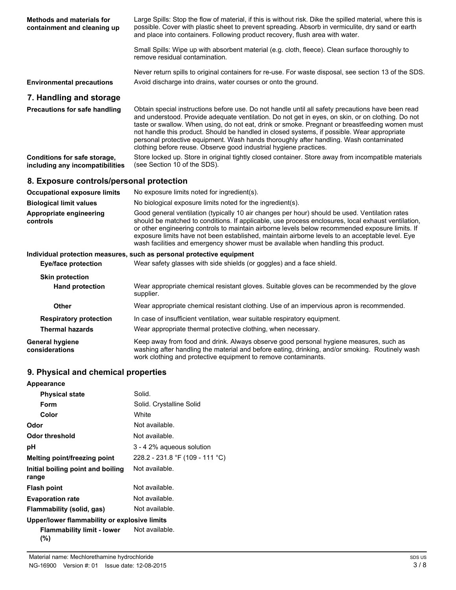| <b>Methods and materials for</b><br>containment and cleaning up | Large Spills: Stop the flow of material, if this is without risk. Dike the spilled material, where this is<br>possible. Cover with plastic sheet to prevent spreading. Absorb in vermiculite, dry sand or earth<br>and place into containers. Following product recovery, flush area with water.                                                                                                                                                                                                                                                                       |
|-----------------------------------------------------------------|------------------------------------------------------------------------------------------------------------------------------------------------------------------------------------------------------------------------------------------------------------------------------------------------------------------------------------------------------------------------------------------------------------------------------------------------------------------------------------------------------------------------------------------------------------------------|
|                                                                 | Small Spills: Wipe up with absorbent material (e.g. cloth, fleece). Clean surface thoroughly to<br>remove residual contamination.                                                                                                                                                                                                                                                                                                                                                                                                                                      |
|                                                                 | Never return spills to original containers for re-use. For waste disposal, see section 13 of the SDS.                                                                                                                                                                                                                                                                                                                                                                                                                                                                  |
| <b>Environmental precautions</b>                                | Avoid discharge into drains, water courses or onto the ground.                                                                                                                                                                                                                                                                                                                                                                                                                                                                                                         |
| 7. Handling and storage                                         |                                                                                                                                                                                                                                                                                                                                                                                                                                                                                                                                                                        |
| <b>Precautions for safe handling</b>                            | Obtain special instructions before use. Do not handle until all safety precautions have been read<br>and understood. Provide adequate ventilation. Do not get in eyes, on skin, or on clothing. Do not<br>taste or swallow. When using, do not eat, drink or smoke. Pregnant or breastfeeding women must<br>not handle this product. Should be handled in closed systems, if possible. Wear appropriate<br>personal protective equipment. Wash hands thoroughly after handling. Wash contaminated<br>clothing before reuse. Observe good industrial hygiene practices. |
| Conditions for safe storage,<br>including any incompatibilities | Store locked up. Store in original tightly closed container. Store away from incompatible materials<br>(see Section 10 of the SDS).                                                                                                                                                                                                                                                                                                                                                                                                                                    |
|                                                                 |                                                                                                                                                                                                                                                                                                                                                                                                                                                                                                                                                                        |
| 8. Exposure controls/personal protection                        |                                                                                                                                                                                                                                                                                                                                                                                                                                                                                                                                                                        |
| <b>Occupational exposure limits</b>                             | No exposure limits noted for ingredient(s).                                                                                                                                                                                                                                                                                                                                                                                                                                                                                                                            |
| <b>Biological limit values</b>                                  | No biological exposure limits noted for the ingredient(s).                                                                                                                                                                                                                                                                                                                                                                                                                                                                                                             |
| Appropriate engineering<br>controls                             | Good general ventilation (typically 10 air changes per hour) should be used. Ventilation rates<br>should be matched to conditions. If applicable, use process enclosures, local exhaust ventilation,<br>or other engineering controls to maintain airborne levels below recommended exposure limits. If<br>exposure limits have not been established, maintain airborne levels to an acceptable level. Eye<br>wash facilities and emergency shower must be available when handling this product.                                                                       |
|                                                                 | Individual protection measures, such as personal protective equipment                                                                                                                                                                                                                                                                                                                                                                                                                                                                                                  |
| <b>Eye/face protection</b>                                      | Wear safety glasses with side shields (or goggles) and a face shield.                                                                                                                                                                                                                                                                                                                                                                                                                                                                                                  |
| <b>Skin protection</b>                                          |                                                                                                                                                                                                                                                                                                                                                                                                                                                                                                                                                                        |
| <b>Hand protection</b>                                          | Wear appropriate chemical resistant gloves. Suitable gloves can be recommended by the glove<br>supplier.                                                                                                                                                                                                                                                                                                                                                                                                                                                               |
| <b>Other</b>                                                    | Wear appropriate chemical resistant clothing. Use of an impervious apron is recommended.                                                                                                                                                                                                                                                                                                                                                                                                                                                                               |
| <b>Respiratory protection</b>                                   | In case of insufficient ventilation, wear suitable respiratory equipment.                                                                                                                                                                                                                                                                                                                                                                                                                                                                                              |

Keep away from food and drink. Always observe good personal hygiene measures, such as washing after handling the material and before eating, drinking, and/or smoking. Routinely wash work clothing and protective equipment to remove contaminants. **General hygiene considerations**

# **9. Physical and chemical properties**

| Appearance                                   |                                 |
|----------------------------------------------|---------------------------------|
| <b>Physical state</b>                        | Solid.                          |
| Form                                         | Solid. Crystalline Solid        |
| Color                                        | White                           |
| Odor                                         | Not available.                  |
| Odor threshold                               | Not available.                  |
| рH                                           | 3 - 4 2% aqueous solution       |
| Melting point/freezing point                 | 228.2 - 231.8 °F (109 - 111 °C) |
| Initial boiling point and boiling<br>range   | Not available.                  |
| <b>Flash point</b>                           | Not available.                  |
| <b>Evaporation rate</b>                      | Not available.                  |
| Flammability (solid, gas)                    | Not available.                  |
| Upper/lower flammability or explosive limits |                                 |
| Flammability limit - lower<br>(%)            | Not available.                  |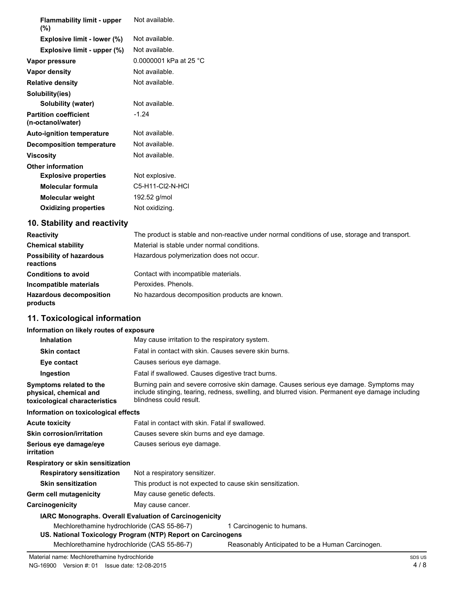| <b>Flammability limit - upper</b><br>$(\%)$       | Not available.         |
|---------------------------------------------------|------------------------|
| Explosive limit - lower (%)                       | Not available.         |
| Explosive limit - upper (%)                       | Not available.         |
| Vapor pressure                                    | 0.0000001 kPa at 25 °C |
| Vapor density                                     | Not available.         |
| <b>Relative density</b>                           | Not available.         |
| Solubility(ies)                                   |                        |
| Solubility (water)                                | Not available.         |
| <b>Partition coefficient</b><br>(n-octanol/water) | $-1.24$                |
| <b>Auto-ignition temperature</b>                  | Not available.         |
| <b>Decomposition temperature</b>                  | Not available.         |
| <b>Viscosity</b>                                  | Not available.         |
| <b>Other information</b>                          |                        |
| <b>Explosive properties</b>                       | Not explosive.         |
| <b>Molecular formula</b>                          | C5-H11-Cl2-N-HCl       |
| <b>Molecular weight</b>                           | 192.52 g/mol           |
| <b>Oxidizing properties</b>                       | Not oxidizing.         |

# **10. Stability and reactivity**

| <b>Reactivity</b>                            | The product is stable and non-reactive under normal conditions of use, storage and transport. |
|----------------------------------------------|-----------------------------------------------------------------------------------------------|
| <b>Chemical stability</b>                    | Material is stable under normal conditions.                                                   |
| <b>Possibility of hazardous</b><br>reactions | Hazardous polymerization does not occur.                                                      |
| <b>Conditions to avoid</b>                   | Contact with incompatible materials.                                                          |
| Incompatible materials                       | Peroxides, Phenols,                                                                           |
| <b>Hazardous decomposition</b><br>products   | No hazardous decomposition products are known.                                                |

# **11. Toxicological information**

## **Information on likely routes of exposure**

| <b>Inhalation</b>                                                                  | May cause irritation to the respiratory system.                                                                                                                                                                       |  |
|------------------------------------------------------------------------------------|-----------------------------------------------------------------------------------------------------------------------------------------------------------------------------------------------------------------------|--|
| <b>Skin contact</b>                                                                | Fatal in contact with skin. Causes severe skin burns.                                                                                                                                                                 |  |
| Eye contact                                                                        | Causes serious eye damage.                                                                                                                                                                                            |  |
| Ingestion                                                                          | Fatal if swallowed. Causes digestive tract burns.                                                                                                                                                                     |  |
| Symptoms related to the<br>physical, chemical and<br>toxicological characteristics | Burning pain and severe corrosive skin damage. Causes serious eye damage. Symptoms may<br>include stinging, tearing, redness, swelling, and blurred vision. Permanent eye damage including<br>blindness could result. |  |
| Information on toxicological effects                                               |                                                                                                                                                                                                                       |  |
| <b>Acute toxicity</b>                                                              | Fatal in contact with skin. Fatal if swallowed.                                                                                                                                                                       |  |
| <b>Skin corrosion/irritation</b>                                                   | Causes severe skin burns and eye damage.                                                                                                                                                                              |  |
| Serious eye damage/eye<br>irritation                                               | Causes serious eye damage.                                                                                                                                                                                            |  |
| Respiratory or skin sensitization                                                  |                                                                                                                                                                                                                       |  |
| <b>Respiratory sensitization</b>                                                   | Not a respiratory sensitizer.                                                                                                                                                                                         |  |
| <b>Skin sensitization</b>                                                          | This product is not expected to cause skin sensitization.                                                                                                                                                             |  |
| <b>Germ cell mutagenicity</b>                                                      | May cause genetic defects.                                                                                                                                                                                            |  |
| Carcinogenicity                                                                    | May cause cancer.                                                                                                                                                                                                     |  |
|                                                                                    | <b>IARC Monographs. Overall Evaluation of Carcinogenicity</b>                                                                                                                                                         |  |
| Mechlorethamine hydrochloride (CAS 55-86-7)                                        | 1 Carcinogenic to humans.<br>US. National Toxicology Program (NTP) Report on Carcinogens                                                                                                                              |  |
| Mechlorethamine hydrochloride (CAS 55-86-7)                                        | Reasonably Anticipated to be a Human Carcinogen.                                                                                                                                                                      |  |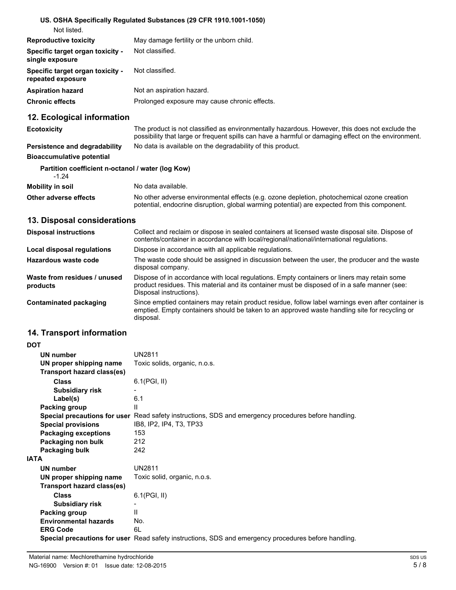#### **US. OSHA Specifically Regulated Substances (29 CFR 1910.1001-1050)** Not listed.

| <b>Reproductive toxicity</b>                                 | May damage fertility or the unborn child.     |
|--------------------------------------------------------------|-----------------------------------------------|
| <b>Specific target organ toxicity -</b><br>single exposure   | Not classified.                               |
| <b>Specific target organ toxicity -</b><br>repeated exposure | Not classified.                               |
| <b>Aspiration hazard</b>                                     | Not an aspiration hazard.                     |
| Chronic effects                                              | Prolonged exposure may cause chronic effects. |

# **12. Ecological information**

| <b>Ecotoxicity</b>            | The product is not classified as environmentally hazardous. However, this does not exclude the<br>possibility that large or frequent spills can have a harmful or damaging effect on the environment. |
|-------------------------------|-------------------------------------------------------------------------------------------------------------------------------------------------------------------------------------------------------|
| Persistence and degradability | No data is available on the degradability of this product.                                                                                                                                            |

## **Bioaccumulative potential**

#### **Partition coefficient n-octanol / water (log Kow)**

| $-1.24$                 |                                                                                                                                                                                            |
|-------------------------|--------------------------------------------------------------------------------------------------------------------------------------------------------------------------------------------|
| <b>Mobility in soil</b> | No data available.                                                                                                                                                                         |
| Other adverse effects   | No other adverse environmental effects (e.g. ozone depletion, photochemical ozone creation<br>potential, endocrine disruption, global warming potential) are expected from this component. |

#### **13. Disposal considerations**

| <b>Disposal instructions</b>             | Collect and reclaim or dispose in sealed containers at licensed waste disposal site. Dispose of<br>contents/container in accordance with local/regional/national/international regulations.                            |
|------------------------------------------|------------------------------------------------------------------------------------------------------------------------------------------------------------------------------------------------------------------------|
| Local disposal regulations               | Dispose in accordance with all applicable regulations.                                                                                                                                                                 |
| Hazardous waste code                     | The waste code should be assigned in discussion between the user, the producer and the waste<br>disposal company.                                                                                                      |
| Waste from residues / unused<br>products | Dispose of in accordance with local regulations. Empty containers or liners may retain some<br>product residues. This material and its container must be disposed of in a safe manner (see:<br>Disposal instructions). |
| Contaminated packaging                   | Since emptied containers may retain product residue, follow label warnings even after container is<br>emptied. Empty containers should be taken to an approved waste handling site for recycling or<br>disposal.       |

# **14. Transport information**

| <b>DOT</b>                   |                                                                                                             |
|------------------------------|-------------------------------------------------------------------------------------------------------------|
| <b>UN number</b>             | <b>UN2811</b>                                                                                               |
| UN proper shipping name      | Toxic solids, organic, n.o.s.                                                                               |
| Transport hazard class(es)   |                                                                                                             |
| <b>Class</b>                 | $6.1$ (PGI, II)                                                                                             |
| <b>Subsidiary risk</b>       |                                                                                                             |
| Label(s)                     | 6.1                                                                                                         |
| Packing group                | Ш                                                                                                           |
|                              | <b>Special precautions for user</b> Read safety instructions, SDS and emergency procedures before handling. |
| <b>Special provisions</b>    | IB8, IP2, IP4, T3, TP33                                                                                     |
| <b>Packaging exceptions</b>  | 153                                                                                                         |
| Packaging non bulk           | 212                                                                                                         |
| Packaging bulk               | 242                                                                                                         |
| <b>IATA</b>                  |                                                                                                             |
| <b>UN number</b>             | <b>UN2811</b>                                                                                               |
| UN proper shipping name      | Toxic solid, organic, n.o.s.                                                                                |
| Transport hazard class(es)   |                                                                                                             |
| Class                        | 6.1(PGI, II)                                                                                                |
| <b>Subsidiary risk</b>       |                                                                                                             |
| Packing group                | $\mathbf{H}$                                                                                                |
| <b>Environmental hazards</b> | No.                                                                                                         |
| <b>ERG Code</b>              | 6L                                                                                                          |
|                              | Special precautions for user Read safety instructions, SDS and emergency procedures before handling.        |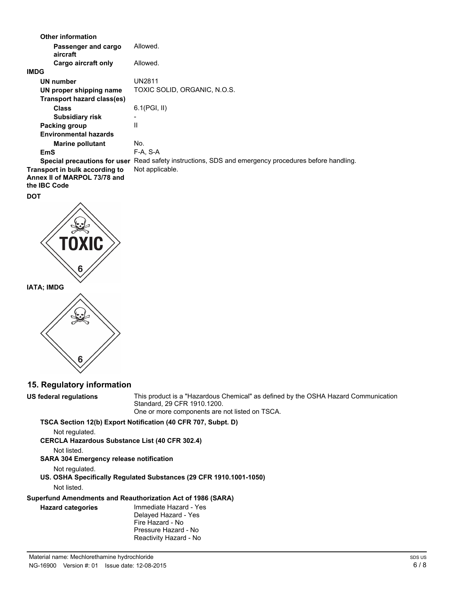| <b>Other information</b>                                                              |                                                                         |
|---------------------------------------------------------------------------------------|-------------------------------------------------------------------------|
| Passenger and cargo<br>aircraft                                                       | Allowed.                                                                |
| Cargo aircraft only                                                                   | Allowed.                                                                |
| <b>IMDG</b>                                                                           |                                                                         |
| <b>UN number</b>                                                                      | <b>UN2811</b>                                                           |
| UN proper shipping name                                                               | TOXIC SOLID, ORGANIC, N.O.S.                                            |
| Transport hazard class(es)                                                            |                                                                         |
| <b>Class</b>                                                                          | $6.1$ (PGI, II)                                                         |
| <b>Subsidiary risk</b>                                                                |                                                                         |
| Packing group                                                                         | $\mathbf{H}$                                                            |
| <b>Environmental hazards</b>                                                          |                                                                         |
| <b>Marine pollutant</b>                                                               | No.                                                                     |
| EmS                                                                                   | F-A, S-A                                                                |
| Special precautions for user                                                          | Read safety instructions, SDS and emergency procedures before handling. |
| Transport in bulk according to<br>Annex II of MARPOL 73/78 and<br>the <b>IBC</b> Code | Not applicable.                                                         |
| <b>DOT</b>                                                                            |                                                                         |





**15. Regulatory information**

**US federal regulations**

This product is a "Hazardous Chemical" as defined by the OSHA Hazard Communication Standard, 29 CFR 1910.1200. One or more components are not listed on TSCA.

**TSCA Section 12(b) Export Notification (40 CFR 707, Subpt. D)**

Not regulated.

**CERCLA Hazardous Substance List (40 CFR 302.4)**

Not listed.

**SARA 304 Emergency release notification**

Not regulated.

**US. OSHA Specifically Regulated Substances (29 CFR 1910.1001-1050)**

Not listed.

**Hazard categories**

**Superfund Amendments and Reauthorization Act of 1986 (SARA)**

Immediate Hazard - Yes Delayed Hazard - Yes Fire Hazard - No Pressure Hazard - No Reactivity Hazard - No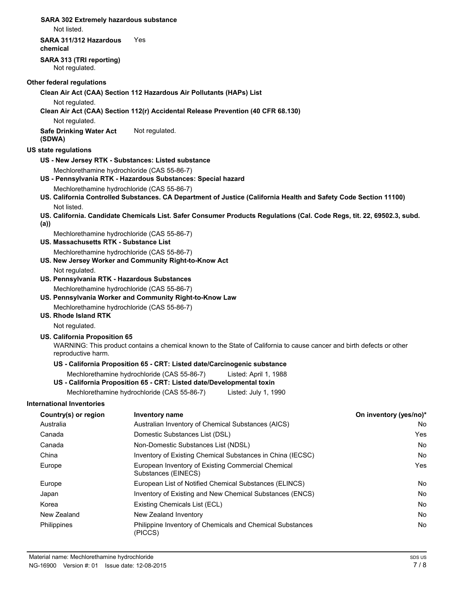**SARA 302 Extremely hazardous substance** Not listed. **SARA 311/312 Hazardous** Yes **chemical SARA 313 (TRI reporting)** Not regulated. **Other federal regulations Clean Air Act (CAA) Section 112 Hazardous Air Pollutants (HAPs) List** Not regulated. **Clean Air Act (CAA) Section 112(r) Accidental Release Prevention (40 CFR 68.130)** Not regulated. **Safe Drinking Water Act** Not regulated. **(SDWA) US state regulations US - New Jersey RTK - Substances: Listed substance** Mechlorethamine hydrochloride (CAS 55-86-7) **US - Pennsylvania RTK - Hazardous Substances: Special hazard** Mechlorethamine hydrochloride (CAS 55-86-7) **US. California Controlled Substances. CA Department of Justice (California Health and Safety Code Section 11100)** Not listed. **US. California. Candidate Chemicals List. Safer Consumer Products Regulations (Cal. Code Regs, tit. 22, 69502.3, subd. (a))** Mechlorethamine hydrochloride (CAS 55-86-7) **US. Massachusetts RTK - Substance List** Mechlorethamine hydrochloride (CAS 55-86-7) **US. New Jersey Worker and Community Right-to-Know Act** Not regulated. **US. Pennsylvania RTK - Hazardous Substances** Mechlorethamine hydrochloride (CAS 55-86-7) **US. Pennsylvania Worker and Community Right-to-Know Law** Mechlorethamine hydrochloride (CAS 55-86-7) **US. Rhode Island RTK** Not regulated. **US. California Proposition 65** WARNING: This product contains a chemical known to the State of California to cause cancer and birth defects or other reproductive harm. **US - California Proposition 65 - CRT: Listed date/Carcinogenic substance** Mechlorethamine hydrochloride (CAS 55-86-7) Listed: April 1, 1988 **US - California Proposition 65 - CRT: Listed date/Developmental toxin** Mechlorethamine hydrochloride (CAS 55-86-7) Listed: July 1, 1990 **International Inventories Country(s) or region Inventory name On inventory (yes/no)\*** Australia **Australian Inventory of Chemical Substances (AICS)** No Canada Domestic Substances List (DSL) Yes Canada Non-Domestic Substances List (NDSL) No China **Inventory of Existing Chemical Substances in China (IECSC)** No No Europe **European Inventory of Existing Commercial Chemical Chemical Chemical Chemical Chemical Chemical Chemical Chemical Chemical Chemical Chemical Chemical Chemical Chemical Chemical Chemical Chemical Chemical Chemical C** Substances (EINECS) Europe **European List of Notified Chemical Substances (ELINCS)** Noticed Analysis and The European List of Notified Chemical Substances (ELINCS) Noticed Analysis and The Notified Analysis and The Notified Analysis and The N Japan **Inventory of Existing and New Chemical Substances (ENCS)** No Report to the Mo Korea **Existing Chemicals List (ECL)** No and the existing Chemicals List (ECL) No and the existing Chemicals List (ECL) New Zealand New Zealand Inventory No Philippines Philippine Inventory of Chemicals and Chemical Substances No (PICCS)